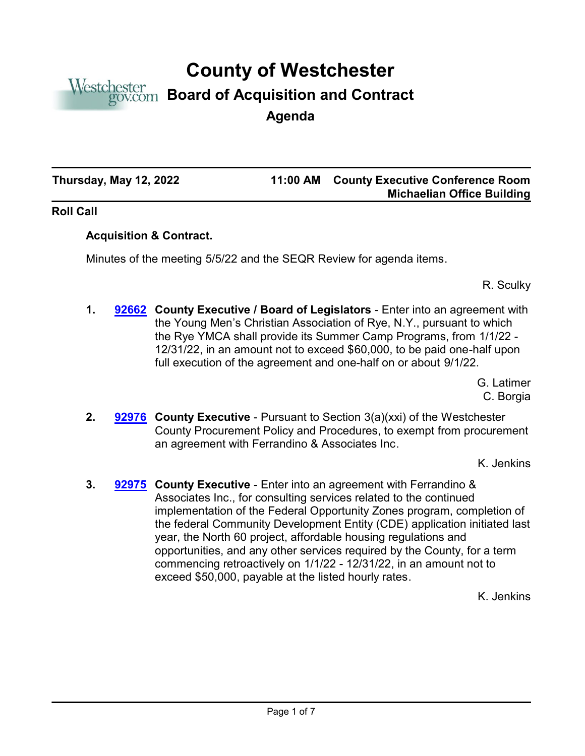

# **County of Westchester**

## **Board of Acquisition and Contract**

**Agenda**

**Thursday, May 12, 2022 11:00 AM**

### **County Executive Conference Room Michaelian Office Building**

#### **Roll Call**

### **Acquisition & Contract.**

Minutes of the meeting 5/5/22 and the SEQR Review for agenda items.

R. Sculky

**1. [92662](http://westchestercountynyexec.legistar.com/gateway.aspx?m=l&id=/matter.aspx?key=3277)** County Executive / Board of Legislators - Enter into an agreement with the Young Men's Christian Association of Rye, N.Y., pursuant to which the Rye YMCA shall provide its Summer Camp Programs, from 1/1/22 - 12/31/22, in an amount not to exceed \$60,000, to be paid one-half upon full execution of the agreement and one-half on or about 9/1/22.

> G. Latimer C. Borgia

**2. [92976](http://westchestercountynyexec.legistar.com/gateway.aspx?m=l&id=/matter.aspx?key=3279)** County Executive - Pursuant to Section 3(a)(xxi) of the Westchester County Procurement Policy and Procedures, to exempt from procurement an agreement with Ferrandino & Associates Inc.

K. Jenkins

**3. [92975](http://westchestercountynyexec.legistar.com/gateway.aspx?m=l&id=/matter.aspx?key=3278)** County Executive - Enter into an agreement with Ferrandino & Associates Inc., for consulting services related to the continued implementation of the Federal Opportunity Zones program, completion of the federal Community Development Entity (CDE) application initiated last year, the North 60 project, affordable housing regulations and opportunities, and any other services required by the County, for a term commencing retroactively on 1/1/22 - 12/31/22, in an amount not to exceed \$50,000, payable at the listed hourly rates.

K. Jenkins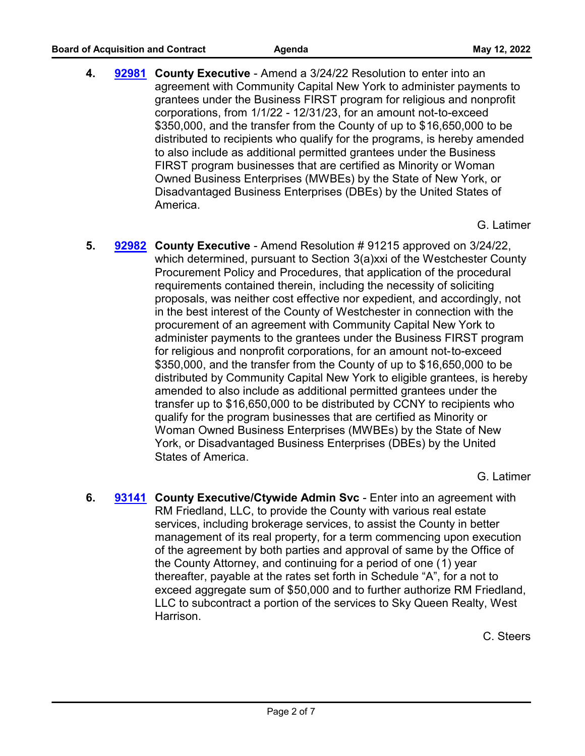**4. County Executive** - Amend a 3/24/22 Resolution to enter into an **[92981](http://westchestercountynyexec.legistar.com/gateway.aspx?m=l&id=/matter.aspx?key=3280)** agreement with Community Capital New York to administer payments to grantees under the Business FIRST program for religious and nonprofit corporations, from 1/1/22 - 12/31/23, for an amount not-to-exceed \$350,000, and the transfer from the County of up to \$16,650,000 to be distributed to recipients who qualify for the programs, is hereby amended to also include as additional permitted grantees under the Business FIRST program businesses that are certified as Minority or Woman Owned Business Enterprises (MWBEs) by the State of New York, or Disadvantaged Business Enterprises (DBEs) by the United States of America.

G. Latimer

**5. County Executive** - Amend Resolution # 91215 approved on 3/24/22, **[92982](http://westchestercountynyexec.legistar.com/gateway.aspx?m=l&id=/matter.aspx?key=3281)** which determined, pursuant to Section 3(a)xxi of the Westchester County Procurement Policy and Procedures, that application of the procedural requirements contained therein, including the necessity of soliciting proposals, was neither cost effective nor expedient, and accordingly, not in the best interest of the County of Westchester in connection with the procurement of an agreement with Community Capital New York to administer payments to the grantees under the Business FIRST program for religious and nonprofit corporations, for an amount not-to-exceed \$350,000, and the transfer from the County of up to \$16,650,000 to be distributed by Community Capital New York to eligible grantees, is hereby amended to also include as additional permitted grantees under the transfer up to \$16,650,000 to be distributed by CCNY to recipients who qualify for the program businesses that are certified as Minority or Woman Owned Business Enterprises (MWBEs) by the State of New York, or Disadvantaged Business Enterprises (DBEs) by the United States of America.

G. Latimer

**6. [93141](http://westchestercountynyexec.legistar.com/gateway.aspx?m=l&id=/matter.aspx?key=3305)** County Executive/Ctywide Admin Svc - Enter into an agreement with RM Friedland, LLC, to provide the County with various real estate services, including brokerage services, to assist the County in better management of its real property, for a term commencing upon execution of the agreement by both parties and approval of same by the Office of the County Attorney, and continuing for a period of one (1) year thereafter, payable at the rates set forth in Schedule "A", for a not to exceed aggregate sum of \$50,000 and to further authorize RM Friedland, LLC to subcontract a portion of the services to Sky Queen Realty, West Harrison.

C. Steers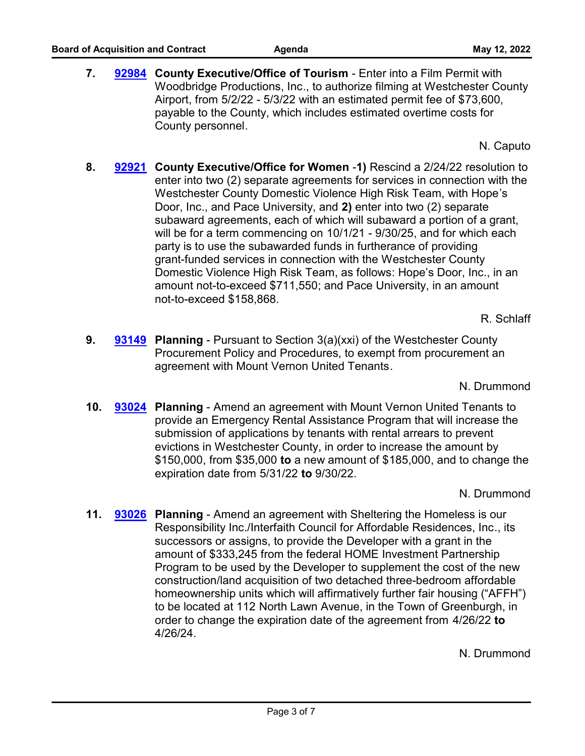7. **[92984](http://westchestercountynyexec.legistar.com/gateway.aspx?m=l&id=/matter.aspx?key=3282)** County Executive/Office of Tourism - Enter into a Film Permit with Woodbridge Productions, Inc., to authorize filming at Westchester County Airport, from 5/2/22 - 5/3/22 with an estimated permit fee of \$73,600, payable to the County, which includes estimated overtime costs for County personnel.

N. Caputo

**8. County Executive/Office for Women** -**1)** Rescind a 2/24/22 resolution to **[92921](http://westchestercountynyexec.legistar.com/gateway.aspx?m=l&id=/matter.aspx?key=3283)** enter into two (2) separate agreements for services in connection with the Westchester County Domestic Violence High Risk Team, with Hope's Door, Inc., and Pace University, and **2)** enter into two (2) separate subaward agreements, each of which will subaward a portion of a grant, will be for a term commencing on 10/1/21 - 9/30/25, and for which each party is to use the subawarded funds in furtherance of providing grant-funded services in connection with the Westchester County Domestic Violence High Risk Team, as follows: Hope's Door, Inc., in an amount not-to-exceed \$711,550; and Pace University, in an amount not-to-exceed \$158,868.

R. Schlaff

**9. [93149](http://westchestercountynyexec.legistar.com/gateway.aspx?m=l&id=/matter.aspx?key=3304)** Planning - Pursuant to Section 3(a)(xxi) of the Westchester County Procurement Policy and Procedures, to exempt from procurement an agreement with Mount Vernon United Tenants.

N. Drummond

**10. [93024](http://westchestercountynyexec.legistar.com/gateway.aspx?m=l&id=/matter.aspx?key=3284) Planning** - Amend an agreement with Mount Vernon United Tenants to provide an Emergency Rental Assistance Program that will increase the submission of applications by tenants with rental arrears to prevent evictions in Westchester County, in order to increase the amount by \$150,000, from \$35,000 **to** a new amount of \$185,000, and to change the expiration date from 5/31/22 **to** 9/30/22.

N. Drummond

**11. [93026](http://westchestercountynyexec.legistar.com/gateway.aspx?m=l&id=/matter.aspx?key=3285)** Planning - Amend an agreement with Sheltering the Homeless is our Responsibility Inc./Interfaith Council for Affordable Residences, Inc., its successors or assigns, to provide the Developer with a grant in the amount of \$333,245 from the federal HOME Investment Partnership Program to be used by the Developer to supplement the cost of the new construction/land acquisition of two detached three-bedroom affordable homeownership units which will affirmatively further fair housing ("AFFH") to be located at 112 North Lawn Avenue, in the Town of Greenburgh, in order to change the expiration date of the agreement from 4/26/22 **to** 4/26/24.

N. Drummond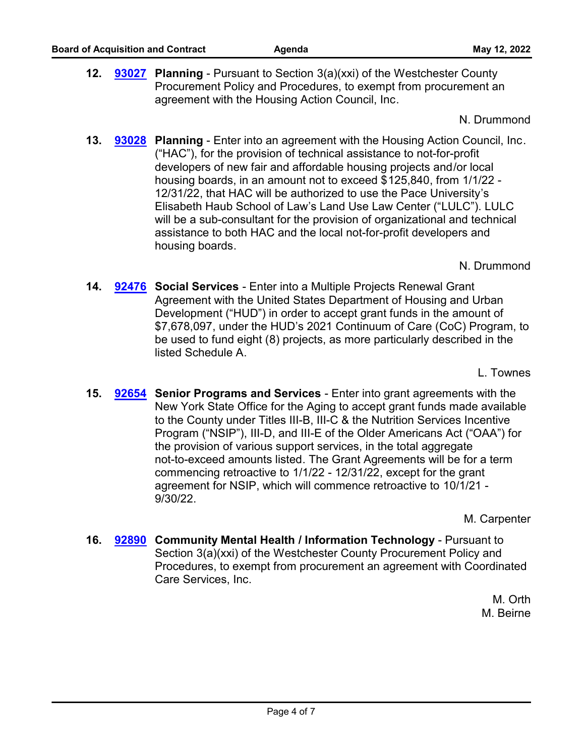**12. [93027](http://westchestercountynyexec.legistar.com/gateway.aspx?m=l&id=/matter.aspx?key=3286)** Planning - Pursuant to Section 3(a)(xxi) of the Westchester County Procurement Policy and Procedures, to exempt from procurement an agreement with the Housing Action Council, Inc.

N. Drummond

**13. [93028](http://westchestercountynyexec.legistar.com/gateway.aspx?m=l&id=/matter.aspx?key=3287) Planning - Enter into an agreement with the Housing Action Council, Inc.** ("HAC"), for the provision of technical assistance to not-for-profit developers of new fair and affordable housing projects and/or local housing boards, in an amount not to exceed \$125,840, from 1/1/22 - 12/31/22, that HAC will be authorized to use the Pace University's Elisabeth Haub School of Law's Land Use Law Center ("LULC"). LULC will be a sub-consultant for the provision of organizational and technical assistance to both HAC and the local not-for-profit developers and housing boards.

N. Drummond

**14. [92476](http://westchestercountynyexec.legistar.com/gateway.aspx?m=l&id=/matter.aspx?key=3288)** Social Services - Enter into a Multiple Projects Renewal Grant Agreement with the United States Department of Housing and Urban Development ("HUD") in order to accept grant funds in the amount of \$7,678,097, under the HUD's 2021 Continuum of Care (CoC) Program, to be used to fund eight (8) projects, as more particularly described in the listed Schedule A.

L. Townes

**15. [92654](http://westchestercountynyexec.legistar.com/gateway.aspx?m=l&id=/matter.aspx?key=3289)** Senior Programs and Services - Enter into grant agreements with the New York State Office for the Aging to accept grant funds made available to the County under Titles III-B, III-C & the Nutrition Services Incentive Program ("NSIP"), III-D, and III-E of the Older Americans Act ("OAA") for the provision of various support services, in the total aggregate not-to-exceed amounts listed. The Grant Agreements will be for a term commencing retroactive to 1/1/22 - 12/31/22, except for the grant agreement for NSIP, which will commence retroactive to 10/1/21 - 9/30/22.

M. Carpenter

**16. [92890](http://westchestercountynyexec.legistar.com/gateway.aspx?m=l&id=/matter.aspx?key=3290) Community Mental Health / Information Technology - Pursuant to** Section 3(a)(xxi) of the Westchester County Procurement Policy and Procedures, to exempt from procurement an agreement with Coordinated Care Services, Inc.

> M. Orth M. Beirne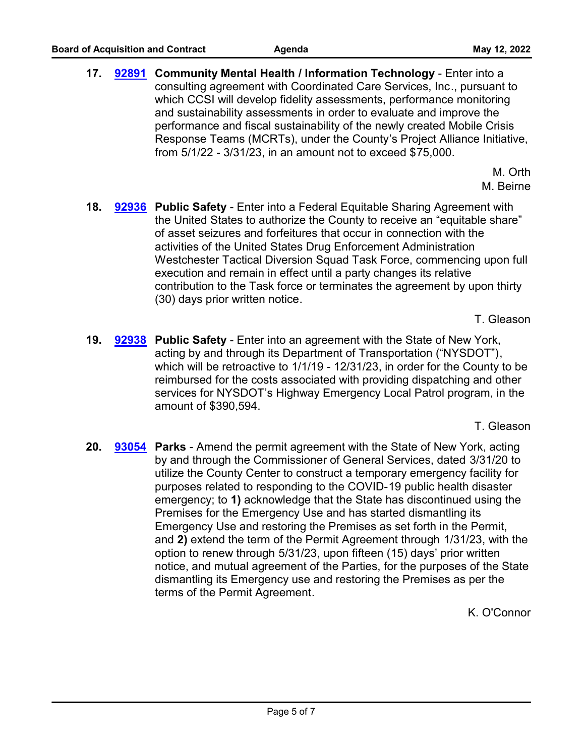**17. [92891](http://westchestercountynyexec.legistar.com/gateway.aspx?m=l&id=/matter.aspx?key=3291) Community Mental Health / Information Technology - Enter into a** consulting agreement with Coordinated Care Services, Inc., pursuant to which CCSI will develop fidelity assessments, performance monitoring and sustainability assessments in order to evaluate and improve the performance and fiscal sustainability of the newly created Mobile Crisis Response Teams (MCRTs), under the County's Project Alliance Initiative, from 5/1/22 - 3/31/23, in an amount not to exceed \$75,000.

> M. Orth M. Beirne

**18. [92936](http://westchestercountynyexec.legistar.com/gateway.aspx?m=l&id=/matter.aspx?key=3292) Public Safety - Enter into a Federal Equitable Sharing Agreement with** the United States to authorize the County to receive an "equitable share" of asset seizures and forfeitures that occur in connection with the activities of the United States Drug Enforcement Administration Westchester Tactical Diversion Squad Task Force, commencing upon full execution and remain in effect until a party changes its relative contribution to the Task force or terminates the agreement by upon thirty (30) days prior written notice.

T. Gleason

**19. [92938](http://westchestercountynyexec.legistar.com/gateway.aspx?m=l&id=/matter.aspx?key=3293)** Public Safety - Enter into an agreement with the State of New York, acting by and through its Department of Transportation ("NYSDOT"), which will be retroactive to 1/1/19 - 12/31/23, in order for the County to be reimbursed for the costs associated with providing dispatching and other services for NYSDOT's Highway Emergency Local Patrol program, in the amount of \$390,594.

T. Gleason

20. **[93054](http://westchestercountynyexec.legistar.com/gateway.aspx?m=l&id=/matter.aspx?key=3294)** Parks - Amend the permit agreement with the State of New York, acting by and through the Commissioner of General Services, dated 3/31/20 to utilize the County Center to construct a temporary emergency facility for purposes related to responding to the COVID-19 public health disaster emergency; to **1)** acknowledge that the State has discontinued using the Premises for the Emergency Use and has started dismantling its Emergency Use and restoring the Premises as set forth in the Permit, and **2)** extend the term of the Permit Agreement through 1/31/23, with the option to renew through 5/31/23, upon fifteen (15) days' prior written notice, and mutual agreement of the Parties, for the purposes of the State dismantling its Emergency use and restoring the Premises as per the terms of the Permit Agreement.

K. O'Connor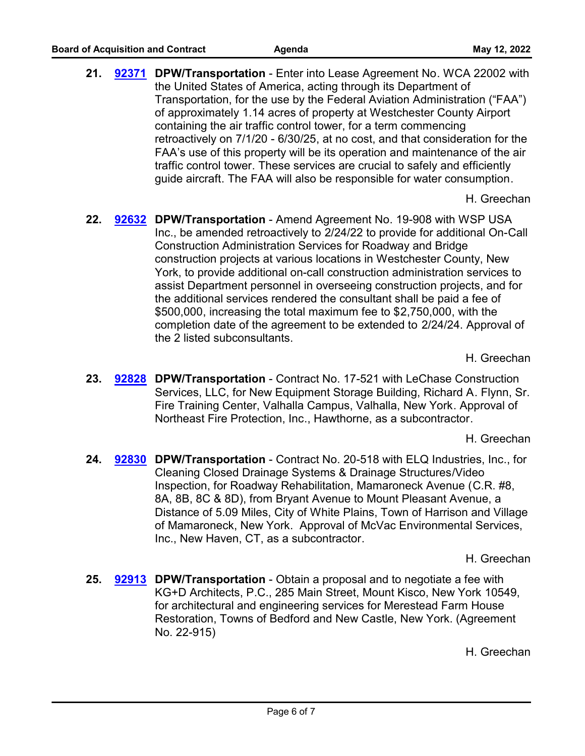21. **[92371](http://westchestercountynyexec.legistar.com/gateway.aspx?m=l&id=/matter.aspx?key=3295) DPW/Transportation** - Enter into Lease Agreement No. WCA 22002 with the United States of America, acting through its Department of Transportation, for the use by the Federal Aviation Administration ("FAA") of approximately 1.14 acres of property at Westchester County Airport containing the air traffic control tower, for a term commencing retroactively on 7/1/20 - 6/30/25, at no cost, and that consideration for the FAA's use of this property will be its operation and maintenance of the air traffic control tower. These services are crucial to safely and efficiently guide aircraft. The FAA will also be responsible for water consumption.

H. Greechan

22. **[92632](http://westchestercountynyexec.legistar.com/gateway.aspx?m=l&id=/matter.aspx?key=3296) DPW/Transportation** - Amend Agreement No. 19-908 with WSP USA Inc., be amended retroactively to 2/24/22 to provide for additional On-Call Construction Administration Services for Roadway and Bridge construction projects at various locations in Westchester County, New York, to provide additional on-call construction administration services to assist Department personnel in overseeing construction projects, and for the additional services rendered the consultant shall be paid a fee of \$500,000, increasing the total maximum fee to \$2,750,000, with the completion date of the agreement to be extended to 2/24/24. Approval of the 2 listed subconsultants.

H. Greechan

23. **[92828](http://westchestercountynyexec.legistar.com/gateway.aspx?m=l&id=/matter.aspx?key=3297) DPW/Transportation** - Contract No. 17-521 with LeChase Construction Services, LLC, for New Equipment Storage Building, Richard A. Flynn, Sr. Fire Training Center, Valhalla Campus, Valhalla, New York. Approval of Northeast Fire Protection, Inc., Hawthorne, as a subcontractor.

H. Greechan

24. **[92830](http://westchestercountynyexec.legistar.com/gateway.aspx?m=l&id=/matter.aspx?key=3298) DPW/Transportation** - Contract No. 20-518 with ELQ Industries, Inc., for Cleaning Closed Drainage Systems & Drainage Structures/Video Inspection, for Roadway Rehabilitation, Mamaroneck Avenue (C.R. #8, 8A, 8B, 8C & 8D), from Bryant Avenue to Mount Pleasant Avenue, a Distance of 5.09 Miles, City of White Plains, Town of Harrison and Village of Mamaroneck, New York. Approval of McVac Environmental Services, Inc., New Haven, CT, as a subcontractor.

H. Greechan

25. **[92913](http://westchestercountynyexec.legistar.com/gateway.aspx?m=l&id=/matter.aspx?key=3299)** DPW/Transportation - Obtain a proposal and to negotiate a fee with KG+D Architects, P.C., 285 Main Street, Mount Kisco, New York 10549, for architectural and engineering services for Merestead Farm House Restoration, Towns of Bedford and New Castle, New York. (Agreement No. 22-915)

H. Greechan